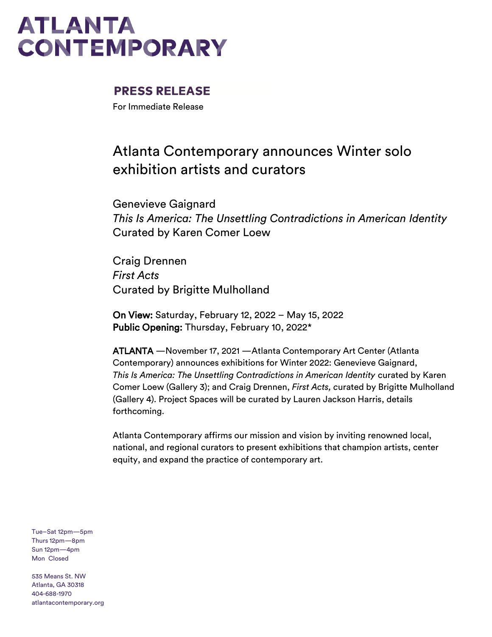### **PRESS RELEASE**

For Immediate Release

### Atlanta Contemporary announces Winter solo exhibition artists and curators

Genevieve Gaignard *This Is America: The Unsettling Contradictions in American Identity* Curated by Karen Comer Loew

Craig Drennen *First Acts* Curated by Brigitte Mulholland

On View: Saturday, February 12, 2022 – May 15, 2022 Public Opening: Thursday, February 10, 2022\*

ATLANTA —November 17, 2021 —Atlanta Contemporary Art Center (Atlanta Contemporary) announces exhibitions for Winter 2022: Genevieve Gaignard, *This Is America: The Unsettling Contradictions in American Identity* curated by Karen Comer Loew (Gallery 3); and Craig Drennen, *First Acts, c*urated by Brigitte Mulholland (Gallery 4). Project Spaces will be curated by Lauren Jackson Harris, details forthcoming.

Atlanta Contemporary affirms our mission and vision by inviting renowned local, national, and regional curators to present exhibitions that champion artists, center equity, and expand the practice of contemporary art.

Tue–Sat 12pm—5pm Thurs 12pm—8pm Sun 12pm—4pm Mon Closed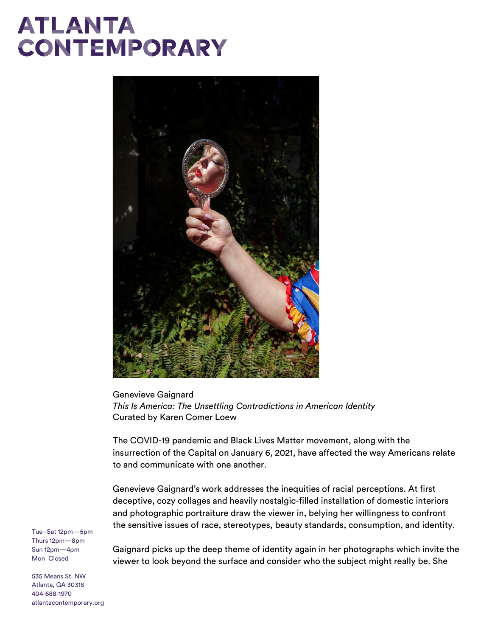

Genevieve Gaignard *This Is America: The Unsettling Contradictions in American Identity* Curated by Karen Comer Loew

The COVID-19 pandemic and Black Lives Matter movement, along with the insurrection of the Capital on January 6, 2021, have affected the way Americans relate to and communicate with one another.

Genevieve Gaignard's work addresses the inequities of racial perceptions. At first deceptive, cozy collages and heavily nostalgic-filled installation of domestic interiors and photographic portraiture draw the viewer in, belying her willingness to confront the sensitive issues of race, stereotypes, beauty standards, consumption, and identity.

Tue–Sat 12pm—5pm Thurs 12pm—8pm Sun 12pm—4pm Mon Closed

Gaignard picks up the deep theme of identity again in her photographs which invite the viewer to look beyond the surface and consider who the subject might really be. She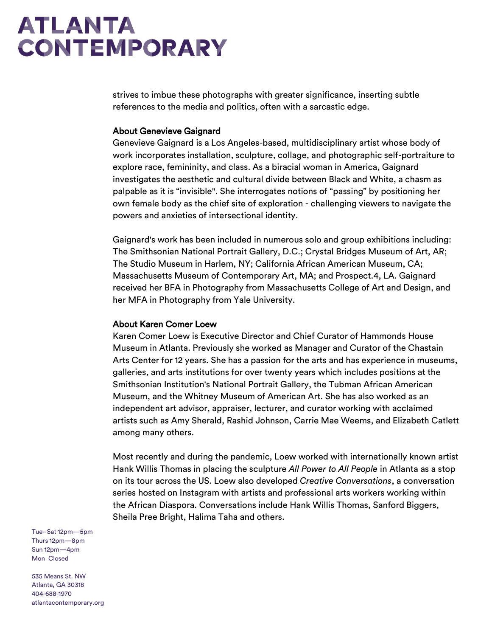strives to imbue these photographs with greater significance, inserting subtle references to the media and politics, often with a sarcastic edge.

#### About Genevieve Gaignard

Genevieve Gaignard is a Los Angeles-based, multidisciplinary artist whose body of work incorporates installation, sculpture, collage, and photographic self-portraiture to explore race, femininity, and class. As a biracial woman in America, Gaignard investigates the aesthetic and cultural divide between Black and White, a chasm as palpable as it is "invisible". She interrogates notions of "passing" by positioning her own female body as the chief site of exploration - challenging viewers to navigate the powers and anxieties of intersectional identity.

Gaignard's work has been included in numerous solo and group exhibitions including: The Smithsonian National Portrait Gallery, D.C.; Crystal Bridges Museum of Art, AR; The Studio Museum in Harlem, NY; California African American Museum, CA; Massachusetts Museum of Contemporary Art, MA; and Prospect.4, LA. Gaignard received her BFA in Photography from Massachusetts College of Art and Design, and her MFA in Photography from Yale University.

### About Karen Comer Loew

Karen Comer Loew is Executive Director and Chief Curator of Hammonds House Museum in Atlanta. Previously she worked as Manager and Curator of the Chastain Arts Center for 12 years. She has a passion for the arts and has experience in museums, galleries, and arts institutions for over twenty years which includes positions at the Smithsonian Institution's National Portrait Gallery, the Tubman African American Museum, and the Whitney Museum of American Art. She has also worked as an independent art advisor, appraiser, lecturer, and curator working with acclaimed artists such as Amy Sherald, Rashid Johnson, Carrie Mae Weems, and Elizabeth Catlett among many others.

Most recently and during the pandemic, Loew worked with internationally known artist Hank Willis Thomas in placing the sculpture *All Power to All People* in Atlanta as a stop on its tour across the US. Loew also developed *Creative Conversations*, a conversation series hosted on Instagram with artists and professional arts workers working within the African Diaspora. Conversations include Hank Willis Thomas, Sanford Biggers, Sheila Pree Bright, Halima Taha and others.

Tue–Sat 12pm—5pm Thurs 12pm—8pm Sun 12pm—4pm Mon Closed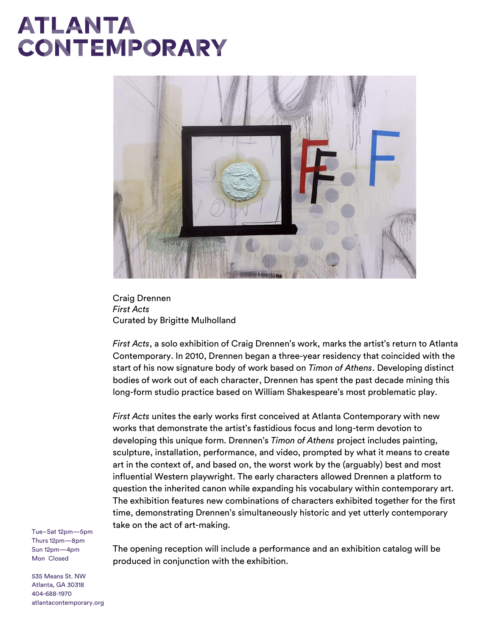

Craig Drennen *First Acts* Curated by Brigitte Mulholland

*First Acts*, a solo exhibition of Craig Drennen's work, marks the artist's return to Atlanta Contemporary. In 2010, Drennen began a three-year residency that coincided with the start of his now signature body of work based on *Timon of Athens*. Developing distinct bodies of work out of each character, Drennen has spent the past decade mining this long-form studio practice based on William Shakespeare's most problematic play.

*First Acts* unites the early works first conceived at Atlanta Contemporary with new works that demonstrate the artist's fastidious focus and long-term devotion to developing this unique form. Drennen's *Timon of Athens* project includes painting, sculpture, installation, performance, and video, prompted by what it means to create art in the context of, and based on, the worst work by the (arguably) best and most influential Western playwright. The early characters allowed Drennen a platform to question the inherited canon while expanding his vocabulary within contemporary art. The exhibition features new combinations of characters exhibited together for the first time, demonstrating Drennen's simultaneously historic and yet utterly contemporary take on the act of art-making.

The opening reception will include a performance and an exhibition catalog will be produced in conjunction with the exhibition.

Tue–Sat 12pm—5pm Thurs 12pm—8pm Sun 12pm—4pm Mon Closed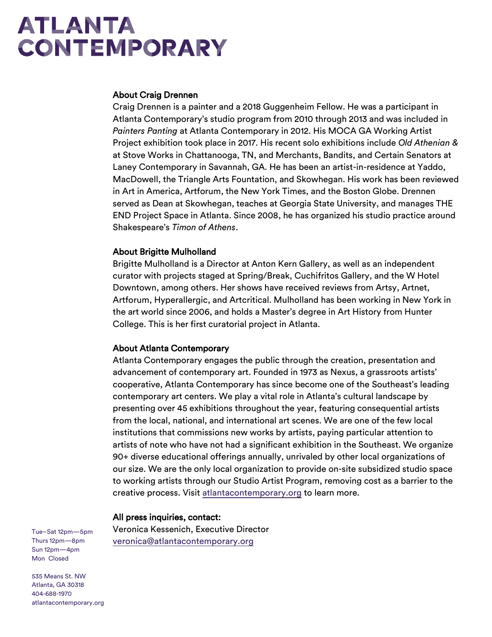#### About Craig Drennen

Craig Drennen is a painter and a 2018 Guggenheim Fellow. He was a participant in Atlanta Contemporary's studio program from 2010 through 2013 and was included in *Painters Panting* at Atlanta Contemporary in 2012. His MOCA GA Working Artist Project exhibition took place in 2017. His recent solo exhibitions include *Old Athenian &* at Stove Works in Chattanooga, TN, and Merchants, Bandits, and Certain Senators at Laney Contemporary in Savannah, GA. He has been an artist-in-residence at Yaddo, MacDowell, the Triangle Arts Fountation, and Skowhegan. His work has been reviewed in Art in America, Artforum, the New York Times, and the Boston Globe. Drennen served as Dean at Skowhegan, teaches at Georgia State University, and manages THE END Project Space in Atlanta. Since 2008, he has organized his studio practice around Shakespeare's *Timon of Athens*.

### About Brigitte Mulholland

Brigitte Mulholland is a Director at Anton Kern Gallery, as well as an independent curator with projects staged at Spring/Break, Cuchifritos Gallery, and the W Hotel Downtown, among others. Her shows have received reviews from Artsy, Artnet, Artforum, Hyperallergic, and Artcritical. Mulholland has been working in New York in the art world since 2006, and holds a Master's degree in Art History from Hunter College. This is her first curatorial project in Atlanta.

### About Atlanta Contemporary

Atlanta Contemporary engages the public through the creation, presentation and advancement of contemporary art. Founded in 1973 as Nexus, a grassroots artists' cooperative, Atlanta Contemporary has since become one of the Southeast's leading contemporary art centers. We play a vital role in Atlanta's cultural landscape by presenting over 45 exhibitions throughout the year, featuring consequential artists from the local, national, and international art scenes. We are one of the few local institutions that commissions new works by artists, paying particular attention to artists of note who have not had a significant exhibition in the Southeast. We organize 90+ diverse educational offerings annually, unrivaled by other local organizations of our size. We are the only local organization to provide on-site subsidized studio space to working artists through our Studio Artist Program, removing cost as a barrier to the creative process. Visi[t atlantacontemporary.org](https://atlantacontemporary.org/) to learn more.

#### All press inquiries, contact:

Veronica Kessenich, Executive Director [veronica@atlantacontemporary.org](mailto:veronica@atlantacontemporary.org)

Tue–Sat 12pm—5pm Thurs 12pm—8pm Sun 12pm—4pm Mon Closed